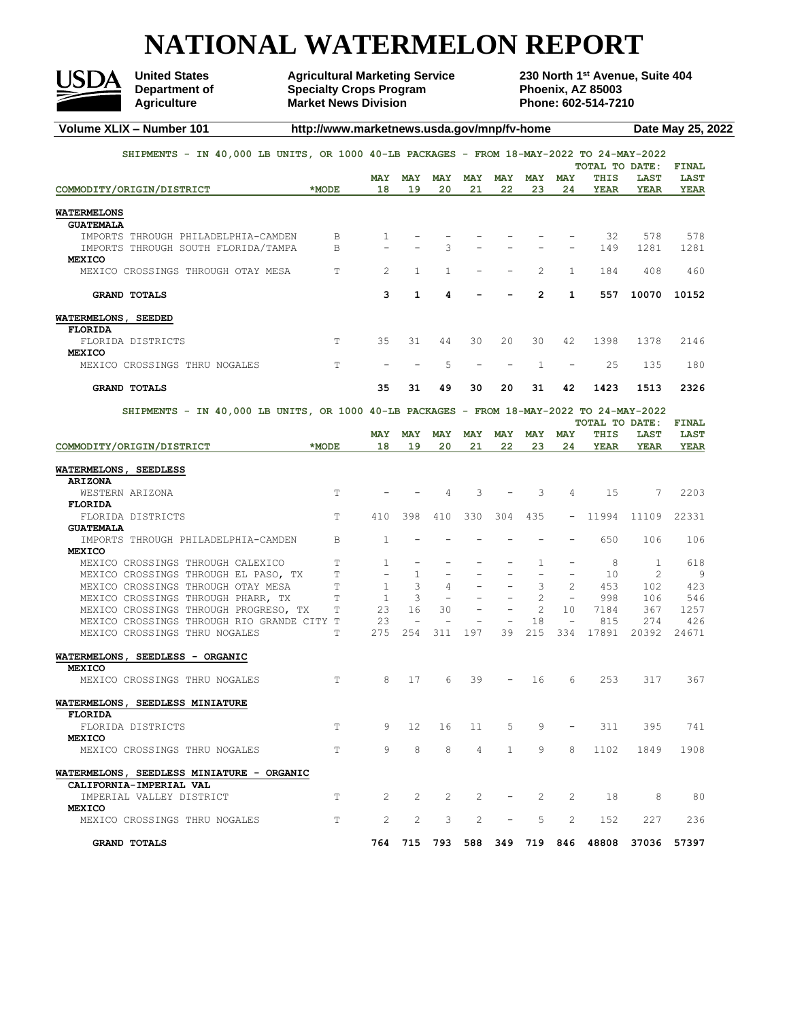# **NATIONAL WATERMELON REPORT**



**Department of Specialty Crops Program Phoenix, AZ 85003**<br> **Agriculture Phone: 602-514-7210 Market News Division** 

United States **Agricultural Marketing Service** 230 North 1<sup>st</sup> Avenue, Suite 404<br>Department of **2018** Specialty Crops Program **Phoenix, AZ 85003** 

| Volume XLIX - Number 101                                                                 | http://www.marketnews.usda.gov/mnp/fv-home |                       |                          |                       |                |                          |                          |                          |                                               |             | Date May 25, 2022 |  |
|------------------------------------------------------------------------------------------|--------------------------------------------|-----------------------|--------------------------|-----------------------|----------------|--------------------------|--------------------------|--------------------------|-----------------------------------------------|-------------|-------------------|--|
| SHIPMENTS - IN 40,000 LB UNITS, OR 1000 40-LB PACKAGES - FROM 18-MAY-2022 TO 24-MAY-2022 |                                            |                       |                          |                       |                |                          |                          |                          |                                               |             |                   |  |
|                                                                                          |                                            |                       |                          |                       |                |                          |                          |                          | TOTAL TO DATE:                                |             | <b>FINAL</b>      |  |
|                                                                                          |                                            | <b>MAY</b>            | <b>MAY</b>               | <b>MAY</b>            | <b>MAY</b>     | <b>MAY</b>               | <b>MAY</b>               | <b>MAY</b>               | THIS                                          | <b>LAST</b> | <b>LAST</b>       |  |
| COMMODITY/ORIGIN/DISTRICT                                                                | $*$ MODE                                   | 18                    | 19                       | 20                    | 21             | 22                       | 23                       | 24                       | YEAR                                          | YEAR        | <b>YEAR</b>       |  |
| <b>WATERMELONS</b><br><b>GUATEMALA</b>                                                   |                                            |                       |                          |                       |                |                          |                          |                          |                                               |             |                   |  |
| IMPORTS THROUGH PHILADELPHIA-CAMDEN                                                      | B                                          | 1                     |                          |                       |                |                          |                          |                          | 32                                            | 578         | 578               |  |
| IMPORTS THROUGH SOUTH FLORIDA/TAMPA                                                      | B                                          |                       |                          | 3                     |                |                          |                          |                          | 149                                           | 1281        | 1281              |  |
| <b>MEXICO</b>                                                                            |                                            |                       |                          |                       |                |                          |                          |                          |                                               |             |                   |  |
| MEXICO CROSSINGS THROUGH OTAY MESA                                                       | T                                          | 2                     | $\mathbf{1}$             | 1                     |                |                          | 2                        | $\mathbf{1}$             | 184                                           | 408         | 460               |  |
| <b>GRAND TOTALS</b>                                                                      |                                            | 3                     | 1                        | 4                     |                |                          | $\overline{2}$           | 1                        | 557                                           | 10070       | 10152             |  |
| WATERMELONS, SEEDED                                                                      |                                            |                       |                          |                       |                |                          |                          |                          |                                               |             |                   |  |
| <b>FLORIDA</b>                                                                           |                                            |                       |                          |                       |                |                          |                          |                          |                                               |             |                   |  |
| FLORIDA DISTRICTS<br><b>MEXICO</b>                                                       | T                                          | 35                    | 31                       | 44                    | 30             | 20                       | 30                       | 42                       | 1398                                          | 1378        | 2146              |  |
| MEXICO CROSSINGS THRU NOGALES                                                            | Τ                                          |                       |                          | 5                     |                |                          | $\mathbf{1}$             |                          | 25                                            | 135         | 180               |  |
| <b>GRAND TOTALS</b>                                                                      |                                            | 35                    | 31                       | 49                    | 30             | 20                       | 31                       | 42                       | 1423                                          | 1513        | 2326              |  |
| SHIPMENTS - IN 40,000 LB UNITS, OR 1000 40-LB PACKAGES - FROM 18-MAY-2022 TO 24-MAY-2022 |                                            |                       |                          |                       |                |                          |                          |                          |                                               |             |                   |  |
|                                                                                          |                                            |                       |                          |                       |                |                          |                          |                          | TOTAL TO DATE:                                |             | <b>FINAL</b>      |  |
|                                                                                          |                                            | <b>MAY</b>            | <b>MAY</b>               | <b>MAY</b>            | <b>MAY</b>     | <b>MAY</b>               | <b>MAY</b>               | <b>MAY</b>               | THIS                                          | <b>LAST</b> | <b>LAST</b>       |  |
| COMMODITY/ORIGIN/DISTRICT                                                                | *MODE                                      | 18                    | 19                       | 20                    | 21             | 22                       | 23                       | 24                       | <b>YEAR</b>                                   | <b>YEAR</b> | YEAR              |  |
| WATERMELONS, SEEDLESS<br><b>ARIZONA</b>                                                  |                                            |                       |                          |                       |                |                          |                          |                          |                                               |             |                   |  |
| WESTERN ARIZONA<br><b>FLORIDA</b>                                                        | T                                          |                       |                          | $\overline{4}$        | 3              |                          | 3                        | 4                        | 15                                            | 7           | 2203              |  |
| FLORIDA DISTRICTS                                                                        | T                                          | 410                   | 398                      | 410                   | 330            | 304                      | 435                      | $\overline{\phantom{0}}$ | 11994                                         | 11109       | 22331             |  |
| <b>GUATEMALA</b><br>IMPORTS THROUGH PHILADELPHIA-CAMDEN                                  | B                                          | $\mathbf{1}$          |                          |                       |                |                          |                          |                          | 650                                           | 106         | 106               |  |
| <b>MEXICO</b>                                                                            |                                            |                       |                          |                       |                |                          |                          |                          |                                               |             |                   |  |
| MEXICO CROSSINGS THROUGH CALEXICO                                                        | T                                          | 1                     |                          |                       |                |                          | 1                        |                          | 8                                             | 1           | 618               |  |
| MEXICO CROSSINGS THROUGH EL PASO, TX                                                     | T                                          | ÷.                    | $\mathbf{1}$             | ÷                     |                |                          | $\overline{\phantom{0}}$ |                          | 10                                            | 2           | 9                 |  |
| MEXICO CROSSINGS THROUGH OTAY MESA                                                       | T                                          | $\mathbf{1}$          | 3                        | 4                     |                |                          | 3                        | 2                        | 453                                           | 102         | 423               |  |
| MEXICO CROSSINGS THROUGH PHARR, TX                                                       | T                                          | $\mathbf{1}$          | 3                        | $\overline{a}$        |                |                          | $\overline{c}$           | $\overline{\phantom{a}}$ | 998                                           | 106         | 546               |  |
| MEXICO CROSSINGS THROUGH PROGRESO, TX                                                    | T                                          | 23                    | 16                       | 30                    | $\overline{a}$ | $\overline{\phantom{a}}$ | 2                        | 10                       | 7184                                          | 367         | 1257              |  |
| MEXICO CROSSINGS THROUGH RIO GRANDE CITY T                                               |                                            | 23                    | $\overline{\phantom{a}}$ |                       |                | $\overline{\phantom{m}}$ | 18                       | $\overline{\phantom{a}}$ | 815                                           | 274         | 426               |  |
| MEXICO CROSSINGS THRU NOGALES                                                            | Τ                                          | 275                   | 254                      | 311                   | 197            | 39                       | 215                      | 334                      | 17891                                         | 20392       | 24671             |  |
| WATERMELONS, SEEDLESS - ORGANIC                                                          |                                            |                       |                          |                       |                |                          |                          |                          |                                               |             |                   |  |
| <b>MEXICO</b><br>MEXICO CROSSINGS THRU NOGALES                                           | Т                                          | 8                     | 17                       | 6                     | 39             |                          | 16                       | 6                        | 253                                           | 317         | 367               |  |
|                                                                                          |                                            |                       |                          |                       |                |                          |                          |                          |                                               |             |                   |  |
| WATERMELONS, SEEDLESS MINIATURE                                                          |                                            |                       |                          |                       |                |                          |                          |                          |                                               |             |                   |  |
| <b>FLORIDA</b>                                                                           |                                            |                       |                          |                       |                |                          |                          |                          |                                               |             |                   |  |
| FLORIDA DISTRICTS                                                                        | T.                                         | 9                     | 12                       | 16                    | 11             | 5                        | 9                        | $\sim$                   | 311                                           | 395         | 741               |  |
| <b>MEXICO</b>                                                                            | T                                          | 9                     | 8                        | 8                     | $\overline{4}$ | $\mathbf{1}$             | 9                        | 8                        | 1102                                          | 1849        | 1908              |  |
| MEXICO CROSSINGS THRU NOGALES                                                            |                                            |                       |                          |                       |                |                          |                          |                          |                                               |             |                   |  |
| WATERMELONS, SEEDLESS MINIATURE - ORGANIC<br>CALIFORNIA-IMPERIAL VAL                     |                                            |                       |                          |                       |                |                          |                          |                          |                                               |             |                   |  |
| IMPERIAL VALLEY DISTRICT                                                                 | T.                                         | $\mathbf{2}^{\prime}$ | $\overline{2}$           | $\mathbf{2}^{\prime}$ | 2              | $\overline{\phantom{a}}$ | 2                        | 2                        | 18                                            | 8           | 80                |  |
| <b>MEXICO</b><br>MEXICO CROSSINGS THRU NOGALES                                           | T                                          | 2                     | $\overline{2}$           | 3                     | $\overline{2}$ | $\overline{\phantom{a}}$ | 5                        | 2                        | 152                                           | 227         | 236               |  |
|                                                                                          |                                            |                       |                          |                       |                |                          |                          |                          | 764 715 793 588 349 719 846 48808 37036 57397 |             |                   |  |
| <b>GRAND TOTALS</b>                                                                      |                                            |                       |                          |                       |                |                          |                          |                          |                                               |             |                   |  |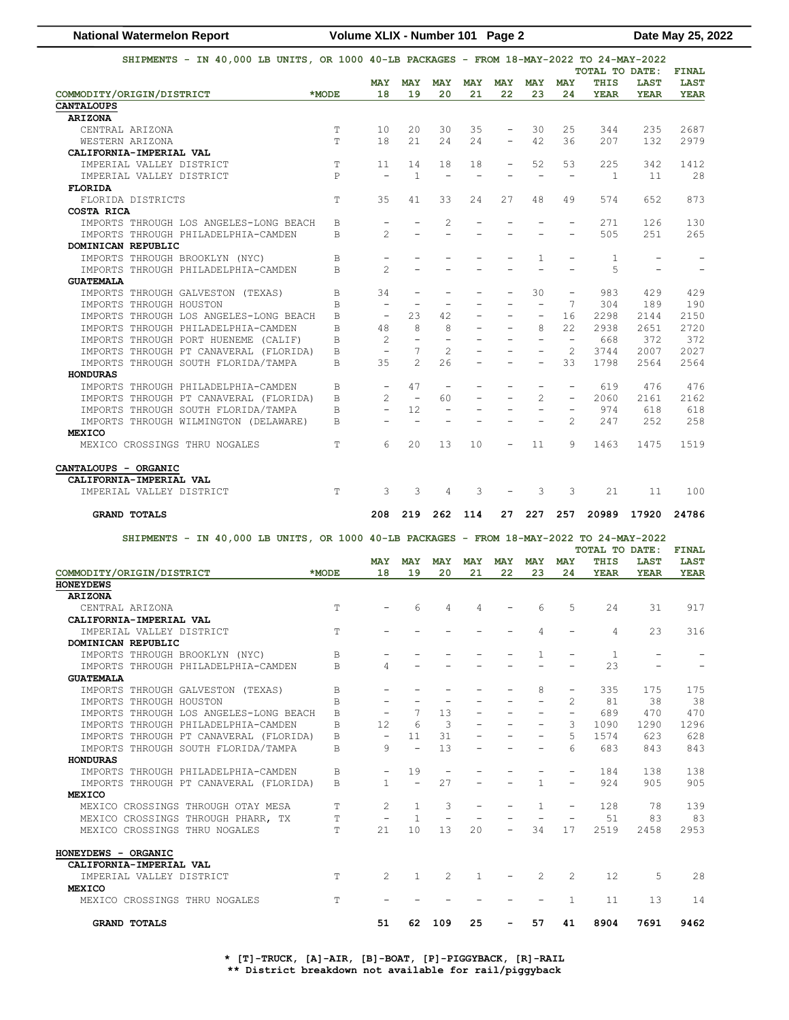| <b>National Watermelon Report</b>                                                        | Volume XLIX - Number 101 Page 2 |                          |                          |                          |                          |                          |                          |                          |                |                            | Date May 25, 2022 |
|------------------------------------------------------------------------------------------|---------------------------------|--------------------------|--------------------------|--------------------------|--------------------------|--------------------------|--------------------------|--------------------------|----------------|----------------------------|-------------------|
| SHIPMENTS - IN 40,000 LB UNITS, OR 1000 40-LB PACKAGES - FROM 18-MAY-2022 TO 24-MAY-2022 |                                 |                          |                          |                          |                          |                          |                          | TOTAL TO DATE:           |                | FINAL                      |                   |
| COMMODITY/ORIGIN/DISTRICT                                                                | *MODE                           | <b>MAY</b><br>18         | <b>MAY</b><br>19         | <b>MAY</b><br>20         | <b>MAY</b><br>21         | <b>MAY</b><br>22         | <b>MAY</b><br>23         | <b>MAY</b><br>24         | THIS<br>YEAR   | <b>LAST</b><br><b>YEAR</b> | <b>LAST</b>       |
|                                                                                          |                                 |                          |                          |                          |                          |                          |                          |                          |                |                            | YEAR              |
| <b>CANTALOUPS</b>                                                                        |                                 |                          |                          |                          |                          |                          |                          |                          |                |                            |                   |
| <b>ARIZONA</b>                                                                           |                                 |                          |                          |                          |                          |                          |                          |                          |                |                            |                   |
| CENTRAL ARIZONA                                                                          | T<br>T                          | 10                       | 20                       | 30                       | 35                       | $\overline{\phantom{a}}$ | 30                       | 25                       | 344            | 235                        | 2687              |
| WESTERN ARIZONA                                                                          |                                 | 18                       | 21                       | 24                       | 24                       |                          | 42                       | 36                       | 207            | 132                        | 2979              |
| CALIFORNIA-IMPERIAL VAL                                                                  |                                 |                          |                          |                          |                          |                          |                          |                          |                |                            |                   |
| IMPERIAL VALLEY DISTRICT                                                                 | T                               | 11                       | 14                       | 18                       | 18                       | $\overline{\phantom{a}}$ | 52                       | 53                       | 225            | 342                        | 1412              |
| IMPERIAL VALLEY DISTRICT                                                                 | $\mathbb P$                     | $\qquad \qquad -$        | $\mathbf{1}$             | $\qquad \qquad -$        | $\qquad \qquad -$        |                          | $\qquad \qquad -$        | $\overline{\phantom{m}}$ | 1              | 11                         | 28                |
| <b>FLORIDA</b>                                                                           |                                 |                          |                          |                          |                          |                          |                          |                          |                |                            |                   |
| FLORIDA DISTRICTS                                                                        | T                               | 35                       | 41                       | 33                       | 24                       | 27                       | 48                       | 49                       | 574            | 652                        | 873               |
| COSTA RICA                                                                               |                                 |                          |                          |                          |                          |                          |                          |                          |                |                            |                   |
| IMPORTS THROUGH LOS ANGELES-LONG BEACH                                                   | B                               | $\overline{a}$           | $\overline{\phantom{0}}$ | $\overline{c}$           | $\qquad \qquad -$        | $\overline{a}$           | $\overline{a}$           | $\overline{\phantom{m}}$ | 271            | 126                        | 130               |
| IMPORTS THROUGH PHILADELPHIA-CAMDEN                                                      | B                               | 2                        |                          |                          |                          |                          |                          |                          | 505            | 251                        | 265               |
| DOMINICAN REPUBLIC                                                                       |                                 |                          |                          |                          |                          |                          |                          |                          |                |                            |                   |
| IMPORTS THROUGH BROOKLYN (NYC)                                                           | B                               |                          |                          |                          |                          |                          | 1                        |                          | 1              |                            |                   |
| IMPORTS THROUGH PHILADELPHIA-CAMDEN                                                      | B                               | 2                        |                          |                          | ÷                        |                          |                          |                          | 5              |                            |                   |
| <b>GUATEMALA</b>                                                                         |                                 |                          |                          |                          |                          |                          |                          |                          |                |                            |                   |
| IMPORTS THROUGH GALVESTON (TEXAS)                                                        | B                               | 34                       |                          |                          |                          |                          | 30                       | $\overline{\phantom{m}}$ | 983            | 429                        | 429               |
| IMPORTS THROUGH HOUSTON                                                                  | B                               | $\overline{\phantom{m}}$ |                          |                          |                          |                          | $\overline{\phantom{0}}$ | 7                        | 304            | 189                        | 190               |
| IMPORTS THROUGH LOS ANGELES-LONG BEACH                                                   | B                               | $\equiv$                 | 23                       | 42                       | $\qquad \qquad -$        | $\overline{\phantom{a}}$ | $\overline{\phantom{a}}$ | 16                       | 2298           | 2144                       | 2150              |
| IMPORTS THROUGH PHILADELPHIA-CAMDEN                                                      | B                               | 48                       | 8                        | 8                        | $\overline{\phantom{0}}$ |                          | 8                        | 22                       | 2938           | 2651                       | 2720              |
| IMPORTS THROUGH PORT HUENEME (CALIF)                                                     | B                               | 2                        | $\overline{\phantom{m}}$ | $\overline{\phantom{m}}$ | $\overline{a}$           | $\overline{\phantom{m}}$ | $\overline{\phantom{m}}$ | $\overline{\phantom{a}}$ | 668            | 372                        | 372               |
| IMPORTS THROUGH PT CANAVERAL (FLORIDA)                                                   | B                               | $\overline{\phantom{a}}$ | 7                        | $\overline{c}$           |                          |                          |                          | 2                        | 3744           | 2007                       | 2027              |
| IMPORTS THROUGH SOUTH FLORIDA/TAMPA                                                      | B                               | 35                       | $\overline{c}$           | 26                       | $\qquad \qquad -$        | $\overline{\phantom{a}}$ | ÷                        | 33                       | 1798           | 2564                       | 2564              |
| <b>HONDURAS</b>                                                                          |                                 |                          |                          |                          |                          |                          |                          |                          |                |                            |                   |
| IMPORTS THROUGH PHILADELPHIA-CAMDEN                                                      | В                               | $\overline{\phantom{m}}$ | 47                       | $\overline{\phantom{m}}$ | ۰                        |                          | $\overline{\phantom{0}}$ | $\overline{\phantom{m}}$ | 619            | 476                        | 476               |
| IMPORTS THROUGH PT CANAVERAL (FLORIDA)                                                   | B                               | 2                        | $\equiv$                 | 60                       | ÷                        | $\equiv$                 | 2                        | $\overline{\phantom{a}}$ | 2060           | 2161                       | 2162              |
| IMPORTS THROUGH SOUTH FLORIDA/TAMPA                                                      | B                               |                          | 12                       | $\qquad \qquad -$        | $\overline{\phantom{0}}$ | $\overline{\phantom{m}}$ | $\overline{a}$           | $\overline{\phantom{m}}$ | 974            | 618                        | 618               |
|                                                                                          |                                 |                          | $\overline{\phantom{0}}$ |                          |                          |                          |                          | 2                        | 247            |                            |                   |
| IMPORTS THROUGH WILMINGTON (DELAWARE)                                                    | B                               |                          |                          |                          |                          |                          |                          |                          |                | 252                        | 258               |
| <b>MEXICO</b>                                                                            |                                 |                          |                          |                          |                          |                          |                          |                          |                |                            |                   |
| MEXICO CROSSINGS THRU NOGALES                                                            | T                               | 6                        | 20                       | 13                       | 10                       |                          | 11                       | 9                        | 1463           | 1475                       | 1519              |
|                                                                                          |                                 |                          |                          |                          |                          |                          |                          |                          |                |                            |                   |
| CANTALOUPS - ORGANIC                                                                     |                                 |                          |                          |                          |                          |                          |                          |                          |                |                            |                   |
| CALIFORNIA-IMPERIAL VAL                                                                  |                                 |                          |                          |                          |                          |                          |                          |                          |                |                            |                   |
| IMPERIAL VALLEY DISTRICT                                                                 | T                               | 3                        | 3                        | 4                        | 3                        |                          | 3                        | 3                        | 21             | 11                         | 100               |
| <b>GRAND TOTALS</b>                                                                      |                                 | 208                      | 219                      | 262                      | 114                      | 27                       | 227                      | 257                      | 20989          | 17920                      | 24786             |
| SHIPMENTS - IN 40,000 LB UNITS, OR 1000 40-LB PACKAGES - FROM 18-MAY-2022 TO 24-MAY-2022 |                                 |                          |                          |                          |                          |                          |                          |                          |                |                            |                   |
|                                                                                          |                                 |                          |                          |                          |                          |                          |                          |                          | TOTAL TO DATE: |                            | FINAL             |
|                                                                                          |                                 | <b>MAY</b>               | <b>MAY</b>               | <b>MAY</b>               | <b>MAY</b>               | <b>MAY</b>               | <b>MAY</b>               | <b>MAY</b>               | THIS           | <b>LAST</b>                | <b>LAST</b>       |
| COMMODITY/ORIGIN/DISTRICT                                                                | *MODE                           | 18                       | 19                       | 20                       | 21                       | 22                       | 23                       | 24                       | YEAR           | <b>YEAR</b>                | YEAR              |
| <b>HONEYDEWS</b>                                                                         |                                 |                          |                          |                          |                          |                          |                          |                          |                |                            |                   |
| <b>ARIZONA</b>                                                                           |                                 |                          |                          |                          |                          |                          |                          |                          |                |                            |                   |
| CENTRAL ARIZONA                                                                          | T                               |                          | 6                        | 4                        | 4                        |                          | 6                        | 5                        | 24             | 31                         | 917               |
| CALIFORNIA-IMPERIAL VAL                                                                  |                                 |                          |                          |                          |                          |                          |                          |                          |                |                            |                   |
| IMPERIAL VALLEY DISTRICT                                                                 | T.                              |                          |                          |                          |                          |                          | 4                        |                          | 4              | 23                         | 316               |
| DOMINICAN REPUBLIC                                                                       |                                 |                          |                          |                          |                          |                          |                          |                          |                |                            |                   |
| IMPORTS THROUGH BROOKLYN (NYC)                                                           | $\mathbb B$                     |                          |                          |                          | $\overline{a}$           |                          | $\mathbf{1}$             | $\equiv$                 | $\mathbf{1}$   | $\overline{\phantom{a}}$   |                   |
| IMPORTS THROUGH PHILADELPHIA-CAMDEN                                                      | B                               | 4                        |                          |                          |                          |                          | ÷.                       | $\equiv$                 | 23             | $\overline{\phantom{a}}$   |                   |
| <b>GUATEMALA</b>                                                                         |                                 |                          |                          |                          |                          |                          |                          |                          |                |                            |                   |
| IMPORTS THROUGH GALVESTON (TEXAS)                                                        | B                               |                          |                          |                          |                          |                          | 8                        | $\overline{\phantom{a}}$ | 335            | 175                        | 175               |
| IMPORTS THROUGH HOUSTON                                                                  | B                               | $\overline{\phantom{a}}$ | $\equiv$                 | $\overline{\phantom{a}}$ |                          |                          | $\sim$                   | 2                        | 81             | 38                         | 38                |
| IMPORTS THROUGH LOS ANGELES-LONG BEACH                                                   | $\overline{B}$                  | $\overline{\phantom{a}}$ | $7\phantom{.0}$          | 13                       |                          |                          |                          | $ \,$                    | 689            | 470                        | 470               |
|                                                                                          |                                 | $12 \overline{ }$        | 6                        |                          |                          | $\overline{\phantom{a}}$ | $\overline{\phantom{a}}$ |                          |                |                            |                   |
| IMPORTS THROUGH PHILADELPHIA-CAMDEN                                                      | B                               |                          |                          | $\overline{\mathbf{3}}$  |                          |                          |                          | 3                        | 1090           | 1290                       | 1296              |
| IMPORTS THROUGH PT CANAVERAL (FLORIDA)                                                   | B                               | $\overline{\phantom{a}}$ | 11                       | 31                       |                          | $\overline{\phantom{a}}$ | $\overline{\phantom{0}}$ | 5                        | 1574           | 623                        | 628               |
| IMPORTS THROUGH SOUTH FLORIDA/TAMPA                                                      | <sub>B</sub>                    | 9                        | $\sim$                   | 13 <sup>°</sup>          | $\overline{\phantom{a}}$ | $\overline{\phantom{a}}$ | $\overline{\phantom{a}}$ | 6                        | 683            | 843                        | 843               |
| <b>HONDURAS</b>                                                                          |                                 |                          |                          |                          |                          |                          |                          |                          |                |                            |                   |
| IMPORTS THROUGH PHILADELPHIA-CAMDEN                                                      | B                               |                          | 19                       | $\overline{\phantom{a}}$ |                          |                          | $\overline{\phantom{a}}$ | $\overline{\phantom{a}}$ | 184            | 138                        | 138               |
| IMPORTS THROUGH PT CANAVERAL (FLORIDA)                                                   | B                               | $\mathbf{1}$             | $\overline{\phantom{a}}$ | 27                       | ÷.                       | $\sim$                   | $\mathbf{1}$             | $\overline{\phantom{a}}$ | 924            | 905                        | 905               |
| <b>MEXICO</b>                                                                            |                                 |                          |                          |                          |                          |                          |                          |                          |                |                            |                   |
| MEXICO CROSSINGS THROUGH OTAY MESA                                                       | T.                              | $\mathbf{2}^{\prime}$    | 1                        | 3                        | $\overline{\phantom{a}}$ |                          | $\mathbf{1}$             | $\overline{\phantom{a}}$ | 128            | 78                         | 139               |
| MEXICO CROSSINGS THROUGH PHARR, TX                                                       | T.                              | $\overline{\phantom{a}}$ | $\overline{1}$           | $\overline{\phantom{m}}$ |                          | $\qquad \qquad -$        | $\overline{\phantom{a}}$ | $\overline{\phantom{a}}$ | 51             | 83                         | 83                |
| MEXICO CROSSINGS THRU NOGALES                                                            | T                               | 21                       | 10 <sup>°</sup>          | 13                       | 20                       | $ \,$                    | 34                       | 17                       | 2519           | 2458                       | 2953              |
|                                                                                          |                                 |                          |                          |                          |                          |                          |                          |                          |                |                            |                   |
| HONEYDEWS - ORGANIC                                                                      |                                 |                          |                          |                          |                          |                          |                          |                          |                |                            |                   |
| CALIFORNIA-IMPERIAL VAL                                                                  |                                 |                          |                          |                          |                          |                          |                          |                          |                |                            |                   |
| IMPERIAL VALLEY DISTRICT                                                                 | T                               | $\mathbf{2}^{\prime}$    | $\mathbf{1}$             | 2                        | $\mathbf{1}$             | $\overline{\phantom{a}}$ | 2                        | 2                        | 12             | 5                          | 28                |
| <b>MEXICO</b>                                                                            |                                 |                          |                          |                          |                          |                          |                          |                          |                |                            |                   |
| MEXICO CROSSINGS THRU NOGALES                                                            | T                               | $\overline{\phantom{a}}$ | $\overline{\phantom{a}}$ | $\overline{\phantom{a}}$ | $\overline{\phantom{a}}$ | $\overline{\phantom{m}}$ | $\overline{\phantom{a}}$ | $\mathbf{1}$             | 11             | 13                         | 14                |
|                                                                                          |                                 |                          |                          |                          |                          |                          |                          |                          |                |                            |                   |
| <b>GRAND TOTALS</b>                                                                      |                                 | 51                       |                          | 62 109                   | 25                       | $\sim 100$               | 57                       | 41                       | 8904           | 7691                       | 9462              |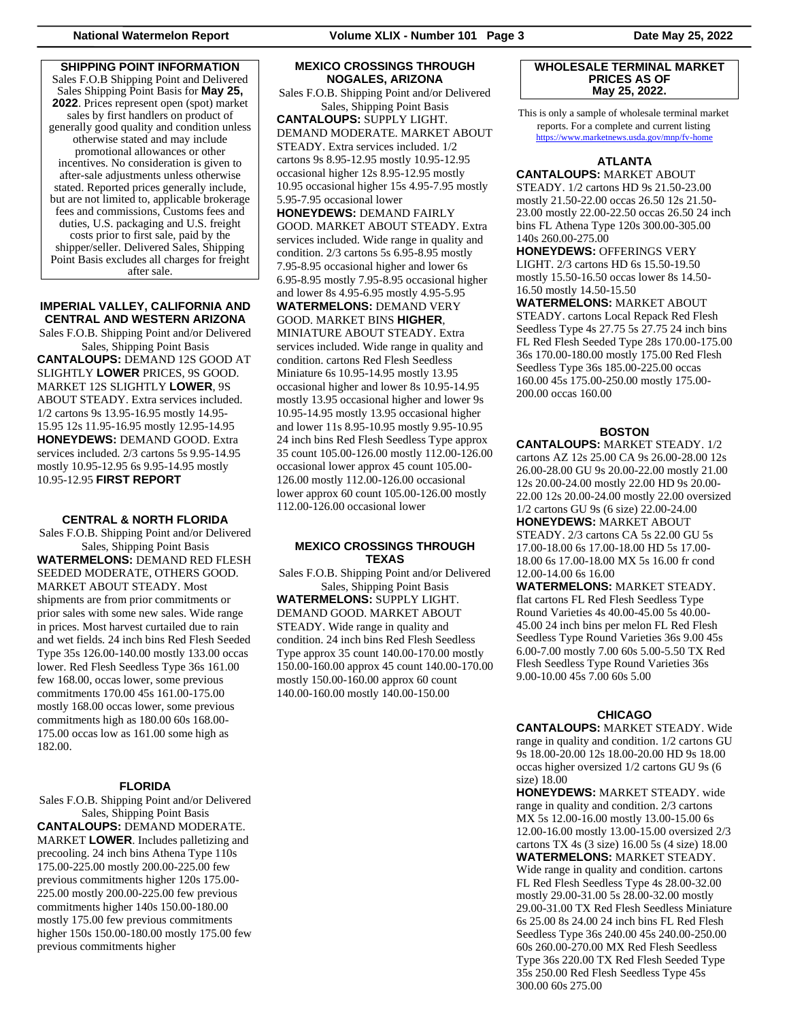**SHIPPING POINT INFORMATION** Sales F.O.B Shipping Point and Delivered Sales Shipping Point Basis for **May 25, 2022**. Prices represent open (spot) market sales by first handlers on product of generally good quality and condition unless otherwise stated and may include promotional allowances or other incentives. No consideration is given to after-sale adjustments unless otherwise stated. Reported prices generally include, but are not limited to, applicable brokerage fees and commissions, Customs fees and duties, U.S. packaging and U.S. freight costs prior to first sale, paid by the shipper/seller. Delivered Sales, Shipping Point Basis excludes all charges for freight after sale.

# **IMPERIAL VALLEY, CALIFORNIA AND CENTRAL AND WESTERN ARIZONA**

Sales F.O.B. Shipping Point and/or Delivered Sales, Shipping Point Basis **CANTALOUPS:** DEMAND 12S GOOD AT SLIGHTLY **LOWER** PRICES, 9S GOOD. MARKET 12S SLIGHTLY **LOWER**, 9S ABOUT STEADY. Extra services included. 1/2 cartons 9s 13.95-16.95 mostly 14.95- 15.95 12s 11.95-16.95 mostly 12.95-14.95 **HONEYDEWS:** DEMAND GOOD. Extra services included. 2/3 cartons 5s 9.95-14.95 mostly 10.95-12.95 6s 9.95-14.95 mostly 10.95-12.95 **FIRST REPORT**

#### **CENTRAL & NORTH FLORIDA**

Sales F.O.B. Shipping Point and/or Delivered Sales, Shipping Point Basis **WATERMELONS:** DEMAND RED FLESH SEEDED MODERATE, OTHERS GOOD. MARKET ABOUT STEADY. Most shipments are from prior commitments or prior sales with some new sales. Wide range in prices. Most harvest curtailed due to rain and wet fields. 24 inch bins Red Flesh Seeded Type 35s 126.00-140.00 mostly 133.00 occas lower. Red Flesh Seedless Type 36s 161.00 few 168.00, occas lower, some previous commitments 170.00 45s 161.00-175.00 mostly 168.00 occas lower, some previous commitments high as 180.00 60s 168.00- 175.00 occas low as 161.00 some high as 182.00.

### **FLORIDA**

Sales F.O.B. Shipping Point and/or Delivered Sales, Shipping Point Basis

**CANTALOUPS:** DEMAND MODERATE. MARKET **LOWER**. Includes palletizing and precooling. 24 inch bins Athena Type 110s 175.00-225.00 mostly 200.00-225.00 few previous commitments higher 120s 175.00- 225.00 mostly 200.00-225.00 few previous commitments higher 140s 150.00-180.00 mostly 175.00 few previous commitments higher 150s 150.00-180.00 mostly 175.00 few previous commitments higher

## **MEXICO CROSSINGS THROUGH NOGALES, ARIZONA**

Sales F.O.B. Shipping Point and/or Delivered Sales, Shipping Point Basis **CANTALOUPS:** SUPPLY LIGHT. DEMAND MODERATE. MARKET ABOUT STEADY. Extra services included. 1/2 cartons 9s 8.95-12.95 mostly 10.95-12.95 occasional higher 12s 8.95-12.95 mostly 10.95 occasional higher 15s 4.95-7.95 mostly 5.95-7.95 occasional lower **HONEYDEWS:** DEMAND FAIRLY GOOD. MARKET ABOUT STEADY. Extra services included. Wide range in quality and

condition. 2/3 cartons 5s 6.95-8.95 mostly 7.95-8.95 occasional higher and lower 6s 6.95-8.95 mostly 7.95-8.95 occasional higher and lower 8s 4.95-6.95 mostly 4.95-5.95 **WATERMELONS:** DEMAND VERY GOOD. MARKET BINS **HIGHER**, MINIATURE ABOUT STEADY. Extra services included. Wide range in quality and condition. cartons Red Flesh Seedless Miniature 6s 10.95-14.95 mostly 13.95 occasional higher and lower 8s 10.95-14.95 mostly 13.95 occasional higher and lower 9s 10.95-14.95 mostly 13.95 occasional higher and lower 11s 8.95-10.95 mostly 9.95-10.95 24 inch bins Red Flesh Seedless Type approx 35 count 105.00-126.00 mostly 112.00-126.00 occasional lower approx 45 count 105.00- 126.00 mostly 112.00-126.00 occasional lower approx 60 count 105.00-126.00 mostly 112.00-126.00 occasional lower

# **MEXICO CROSSINGS THROUGH TEXAS**

Sales F.O.B. Shipping Point and/or Delivered Sales, Shipping Point Basis **WATERMELONS:** SUPPLY LIGHT. DEMAND GOOD. MARKET ABOUT STEADY. Wide range in quality and condition. 24 inch bins Red Flesh Seedless Type approx 35 count 140.00-170.00 mostly 150.00-160.00 approx 45 count 140.00-170.00 mostly 150.00-160.00 approx 60 count 140.00-160.00 mostly 140.00-150.00

#### **WHOLESALE TERMINAL MARKET PRICES AS OF May 25, 2022.**

This is only a sample of wholesale terminal market reports. For a complete and current listing <https://www.marketnews.usda.gov/mnp/fv-home>

# **ATLANTA**

**CANTALOUPS:** MARKET ABOUT STEADY. 1/2 cartons HD 9s 21.50-23.00 mostly 21.50-22.00 occas 26.50 12s 21.50- 23.00 mostly 22.00-22.50 occas 26.50 24 inch bins FL Athena Type 120s 300.00-305.00 140s 260.00-275.00

**HONEYDEWS:** OFFERINGS VERY LIGHT. 2/3 cartons HD 6s 15.50-19.50 mostly 15.50-16.50 occas lower 8s 14.50- 16.50 mostly 14.50-15.50

**WATERMELONS:** MARKET ABOUT STEADY. cartons Local Repack Red Flesh Seedless Type 4s 27.75 5s 27.75 24 inch bins FL Red Flesh Seeded Type 28s 170.00-175.00 36s 170.00-180.00 mostly 175.00 Red Flesh Seedless Type 36s 185.00-225.00 occas 160.00 45s 175.00-250.00 mostly 175.00- 200.00 occas 160.00

# **BOSTON**

**CANTALOUPS:** MARKET STEADY. 1/2 cartons AZ 12s 25.00 CA 9s 26.00-28.00 12s 26.00-28.00 GU 9s 20.00-22.00 mostly 21.00 12s 20.00-24.00 mostly 22.00 HD 9s 20.00- 22.00 12s 20.00-24.00 mostly 22.00 oversized 1/2 cartons GU 9s (6 size) 22.00-24.00 **HONEYDEWS:** MARKET ABOUT STEADY. 2/3 cartons CA 5s 22.00 GU 5s 17.00-18.00 6s 17.00-18.00 HD 5s 17.00- 18.00 6s 17.00-18.00 MX 5s 16.00 fr cond 12.00-14.00 6s 16.00 **WATERMELONS:** MARKET STEADY.

flat cartons FL Red Flesh Seedless Type Round Varieties 4s 40.00-45.00 5s 40.00- 45.00 24 inch bins per melon FL Red Flesh Seedless Type Round Varieties 36s 9.00 45s 6.00-7.00 mostly 7.00 60s 5.00-5.50 TX Red Flesh Seedless Type Round Varieties 36s 9.00-10.00 45s 7.00 60s 5.00

# **CHICAGO**

**CANTALOUPS:** MARKET STEADY. Wide range in quality and condition. 1/2 cartons GU 9s 18.00-20.00 12s 18.00-20.00 HD 9s 18.00 occas higher oversized 1/2 cartons GU 9s (6 size) 18.00

**HONEYDEWS:** MARKET STEADY. wide range in quality and condition. 2/3 cartons MX 5s 12.00-16.00 mostly 13.00-15.00 6s 12.00-16.00 mostly 13.00-15.00 oversized 2/3 cartons TX 4s (3 size) 16.00 5s (4 size) 18.00 **WATERMELONS:** MARKET STEADY. Wide range in quality and condition. cartons FL Red Flesh Seedless Type 4s 28.00-32.00

mostly 29.00-31.00 5s 28.00-32.00 mostly 29.00-31.00 TX Red Flesh Seedless Miniature 6s 25.00 8s 24.00 24 inch bins FL Red Flesh Seedless Type 36s 240.00 45s 240.00-250.00 60s 260.00-270.00 MX Red Flesh Seedless Type 36s 220.00 TX Red Flesh Seeded Type 35s 250.00 Red Flesh Seedless Type 45s 300.00 60s 275.00